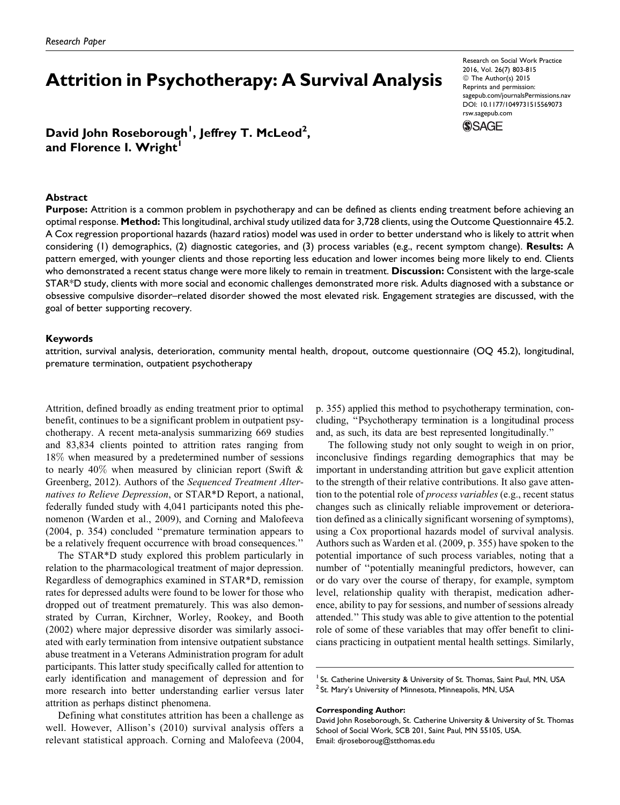# Attrition in Psychotherapy: A Survival Analysis

Research on Social Work Practice 2016, Vol. 26(7) 803-815 © The Author(s) 2015 Reprints and permission: [sagepub.com/journalsPermissions.nav](http://www.sagepub.com/journalsPermissions.nav) DOI: 10.1177/1049731515569073 [rsw.sagepub.com](http://rsw.sagepub.com)



David John Roseborough<sup>1</sup>, Jeffrey T. McLeod<sup>2</sup>, and Florence I. Wright<sup>1</sup>

#### **Abstract**

Purpose: Attrition is a common problem in psychotherapy and can be defined as clients ending treatment before achieving an optimal response. Method: This longitudinal, archival study utilized data for 3,728 clients, using the Outcome Questionnaire 45.2. A Cox regression proportional hazards (hazard ratios) model was used in order to better understand who is likely to attrit when considering (1) demographics, (2) diagnostic categories, and (3) process variables (e.g., recent symptom change). Results: A pattern emerged, with younger clients and those reporting less education and lower incomes being more likely to end. Clients who demonstrated a recent status change were more likely to remain in treatment. Discussion: Consistent with the large-scale STAR\*D study, clients with more social and economic challenges demonstrated more risk. Adults diagnosed with a substance or obsessive compulsive disorder–related disorder showed the most elevated risk. Engagement strategies are discussed, with the goal of better supporting recovery.

#### Keywords

attrition, survival analysis, deterioration, community mental health, dropout, outcome questionnaire (OQ 45.2), longitudinal, premature termination, outpatient psychotherapy

Attrition, defined broadly as ending treatment prior to optimal benefit, continues to be a significant problem in outpatient psychotherapy. A recent meta-analysis summarizing 669 studies and 83,834 clients pointed to attrition rates ranging from 18% when measured by a predetermined number of sessions to nearly 40% when measured by clinician report (Swift  $\&$ Greenberg, 2012). Authors of the Sequenced Treatment Alternatives to Relieve Depression, or STAR\*D Report, a national, federally funded study with 4,041 participants noted this phenomenon (Warden et al., 2009), and Corning and Malofeeva (2004, p. 354) concluded ''premature termination appears to be a relatively frequent occurrence with broad consequences.''

The STAR\*D study explored this problem particularly in relation to the pharmacological treatment of major depression. Regardless of demographics examined in STAR\*D, remission rates for depressed adults were found to be lower for those who dropped out of treatment prematurely. This was also demonstrated by Curran, Kirchner, Worley, Rookey, and Booth (2002) where major depressive disorder was similarly associated with early termination from intensive outpatient substance abuse treatment in a Veterans Administration program for adult participants. This latter study specifically called for attention to early identification and management of depression and for more research into better understanding earlier versus later attrition as perhaps distinct phenomena.

Defining what constitutes attrition has been a challenge as well. However, Allison's (2010) survival analysis offers a relevant statistical approach. Corning and Malofeeva (2004,

p. 355) applied this method to psychotherapy termination, concluding, ''Psychotherapy termination is a longitudinal process and, as such, its data are best represented longitudinally.''

The following study not only sought to weigh in on prior, inconclusive findings regarding demographics that may be important in understanding attrition but gave explicit attention to the strength of their relative contributions. It also gave attention to the potential role of *process variables* (e.g., recent status changes such as clinically reliable improvement or deterioration defined as a clinically significant worsening of symptoms), using a Cox proportional hazards model of survival analysis. Authors such as Warden et al. (2009, p. 355) have spoken to the potential importance of such process variables, noting that a number of ''potentially meaningful predictors, however, can or do vary over the course of therapy, for example, symptom level, relationship quality with therapist, medication adherence, ability to pay for sessions, and number of sessions already attended.'' This study was able to give attention to the potential role of some of these variables that may offer benefit to clinicians practicing in outpatient mental health settings. Similarly,

#### Corresponding Author:

<sup>&</sup>lt;sup>1</sup> St. Catherine University & University of St. Thomas, Saint Paul, MN, USA

<sup>&</sup>lt;sup>2</sup> St. Mary's University of Minnesota, Minneapolis, MN, USA

David John Roseborough, St. Catherine University & University of St. Thomas School of Social Work, SCB 201, Saint Paul, MN 55105, USA. Email: djroseboroug@stthomas.edu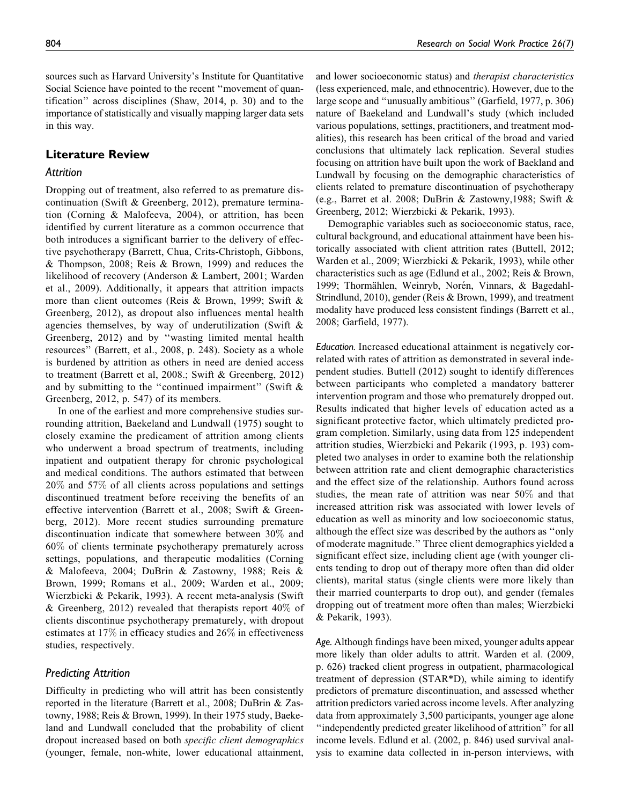sources such as Harvard University's Institute for Quantitative Social Science have pointed to the recent ''movement of quantification'' across disciplines (Shaw, 2014, p. 30) and to the importance of statistically and visually mapping larger data sets in this way.

## Literature Review

## **Attrition**

Dropping out of treatment, also referred to as premature discontinuation (Swift & Greenberg, 2012), premature termination (Corning & Malofeeva, 2004), or attrition, has been identified by current literature as a common occurrence that both introduces a significant barrier to the delivery of effective psychotherapy (Barrett, Chua, Crits-Christoph, Gibbons, & Thompson, 2008; Reis & Brown, 1999) and reduces the likelihood of recovery (Anderson & Lambert, 2001; Warden et al., 2009). Additionally, it appears that attrition impacts more than client outcomes (Reis & Brown, 1999; Swift & Greenberg, 2012), as dropout also influences mental health agencies themselves, by way of underutilization (Swift & Greenberg, 2012) and by ''wasting limited mental health resources'' (Barrett, et al., 2008, p. 248). Society as a whole is burdened by attrition as others in need are denied access to treatment (Barrett et al, 2008.; Swift & Greenberg, 2012) and by submitting to the ''continued impairment'' (Swift & Greenberg, 2012, p. 547) of its members.

In one of the earliest and more comprehensive studies surrounding attrition, Baekeland and Lundwall (1975) sought to closely examine the predicament of attrition among clients who underwent a broad spectrum of treatments, including inpatient and outpatient therapy for chronic psychological and medical conditions. The authors estimated that between 20% and 57% of all clients across populations and settings discontinued treatment before receiving the benefits of an effective intervention (Barrett et al., 2008; Swift & Greenberg, 2012). More recent studies surrounding premature discontinuation indicate that somewhere between 30% and 60% of clients terminate psychotherapy prematurely across settings, populations, and therapeutic modalities (Corning & Malofeeva, 2004; DuBrin & Zastowny, 1988; Reis & Brown, 1999; Romans et al., 2009; Warden et al., 2009; Wierzbicki & Pekarik, 1993). A recent meta-analysis (Swift & Greenberg, 2012) revealed that therapists report  $40\%$  of clients discontinue psychotherapy prematurely, with dropout estimates at 17% in efficacy studies and 26% in effectiveness studies, respectively.

## Predicting Attrition

Difficulty in predicting who will attrit has been consistently reported in the literature (Barrett et al., 2008; DuBrin & Zastowny, 1988; Reis & Brown, 1999). In their 1975 study, Baekeland and Lundwall concluded that the probability of client dropout increased based on both specific client demographics (younger, female, non-white, lower educational attainment,

and lower socioeconomic status) and therapist characteristics (less experienced, male, and ethnocentric). However, due to the large scope and ''unusually ambitious'' (Garfield, 1977, p. 306) nature of Baekeland and Lundwall's study (which included various populations, settings, practitioners, and treatment modalities), this research has been critical of the broad and varied conclusions that ultimately lack replication. Several studies focusing on attrition have built upon the work of Baekland and Lundwall by focusing on the demographic characteristics of clients related to premature discontinuation of psychotherapy (e.g., Barret et al. 2008; DuBrin & Zastowny,1988; Swift & Greenberg, 2012; Wierzbicki & Pekarik, 1993).

Demographic variables such as socioeconomic status, race, cultural background, and educational attainment have been historically associated with client attrition rates (Buttell, 2012; Warden et al., 2009; Wierzbicki & Pekarik, 1993), while other characteristics such as age (Edlund et al., 2002; Reis & Brown, 1999; Thormählen, Weinryb, Norén, Vinnars, & Bagedahl-Strindlund, 2010), gender (Reis & Brown, 1999), and treatment modality have produced less consistent findings (Barrett et al., 2008; Garfield, 1977).

Education. Increased educational attainment is negatively correlated with rates of attrition as demonstrated in several independent studies. Buttell (2012) sought to identify differences between participants who completed a mandatory batterer intervention program and those who prematurely dropped out. Results indicated that higher levels of education acted as a significant protective factor, which ultimately predicted program completion. Similarly, using data from 125 independent attrition studies, Wierzbicki and Pekarik (1993, p. 193) completed two analyses in order to examine both the relationship between attrition rate and client demographic characteristics and the effect size of the relationship. Authors found across studies, the mean rate of attrition was near 50% and that increased attrition risk was associated with lower levels of education as well as minority and low socioeconomic status, although the effect size was described by the authors as ''only of moderate magnitude.'' Three client demographics yielded a significant effect size, including client age (with younger clients tending to drop out of therapy more often than did older clients), marital status (single clients were more likely than their married counterparts to drop out), and gender (females dropping out of treatment more often than males; Wierzbicki & Pekarik, 1993).

Age. Although findings have been mixed, younger adults appear more likely than older adults to attrit. Warden et al. (2009, p. 626) tracked client progress in outpatient, pharmacological treatment of depression (STAR\*D), while aiming to identify predictors of premature discontinuation, and assessed whether attrition predictors varied across income levels. After analyzing data from approximately 3,500 participants, younger age alone ''independently predicted greater likelihood of attrition'' for all income levels. Edlund et al. (2002, p. 846) used survival analysis to examine data collected in in-person interviews, with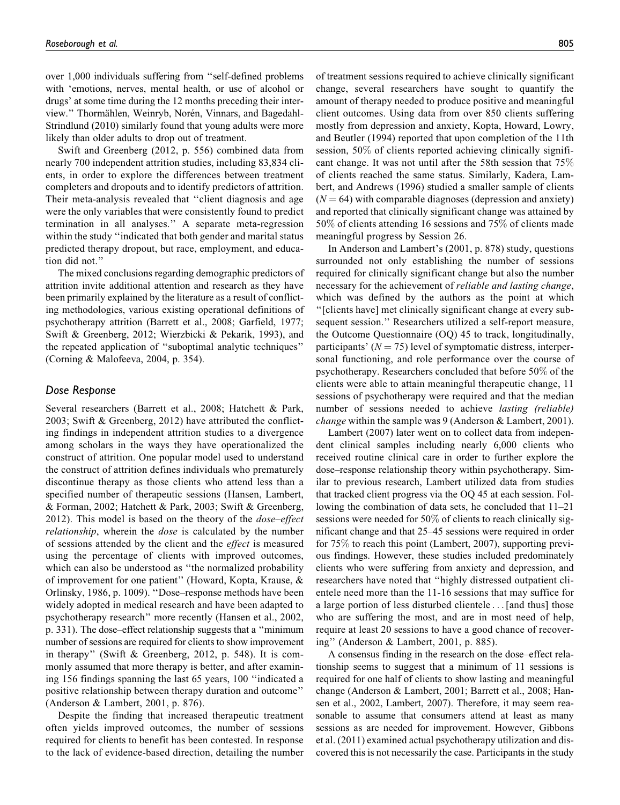over 1,000 individuals suffering from ''self-defined problems with 'emotions, nerves, mental health, or use of alcohol or drugs' at some time during the 12 months preceding their interview." Thormählen, Weinryb, Norén, Vinnars, and Bagedahl-Strindlund (2010) similarly found that young adults were more likely than older adults to drop out of treatment.

Swift and Greenberg (2012, p. 556) combined data from nearly 700 independent attrition studies, including 83,834 clients, in order to explore the differences between treatment completers and dropouts and to identify predictors of attrition. Their meta-analysis revealed that ''client diagnosis and age were the only variables that were consistently found to predict termination in all analyses.'' A separate meta-regression within the study ''indicated that both gender and marital status predicted therapy dropout, but race, employment, and education did not.''

The mixed conclusions regarding demographic predictors of attrition invite additional attention and research as they have been primarily explained by the literature as a result of conflicting methodologies, various existing operational definitions of psychotherapy attrition (Barrett et al., 2008; Garfield, 1977; Swift & Greenberg, 2012; Wierzbicki & Pekarik, 1993), and the repeated application of ''suboptimal analytic techniques'' (Corning & Malofeeva, 2004, p. 354).

#### Dose Response

Several researchers (Barrett et al., 2008; Hatchett & Park, 2003; Swift & Greenberg, 2012) have attributed the conflicting findings in independent attrition studies to a divergence among scholars in the ways they have operationalized the construct of attrition. One popular model used to understand the construct of attrition defines individuals who prematurely discontinue therapy as those clients who attend less than a specified number of therapeutic sessions (Hansen, Lambert, & Forman, 2002; Hatchett & Park, 2003; Swift & Greenberg, 2012). This model is based on the theory of the *dose–effect* relationship, wherein the *dose* is calculated by the number of sessions attended by the client and the *effect* is measured using the percentage of clients with improved outcomes, which can also be understood as ''the normalized probability of improvement for one patient'' (Howard, Kopta, Krause, & Orlinsky, 1986, p. 1009). ''Dose–response methods have been widely adopted in medical research and have been adapted to psychotherapy research'' more recently (Hansen et al., 2002, p. 331). The dose–effect relationship suggests that a ''minimum number of sessions are required for clients to show improvement in therapy'' (Swift & Greenberg, 2012, p. 548). It is commonly assumed that more therapy is better, and after examining 156 findings spanning the last 65 years, 100 ''indicated a positive relationship between therapy duration and outcome'' (Anderson & Lambert, 2001, p. 876).

Despite the finding that increased therapeutic treatment often yields improved outcomes, the number of sessions required for clients to benefit has been contested. In response to the lack of evidence-based direction, detailing the number of treatment sessions required to achieve clinically significant change, several researchers have sought to quantify the amount of therapy needed to produce positive and meaningful client outcomes. Using data from over 850 clients suffering mostly from depression and anxiety, Kopta, Howard, Lowry, and Beutler (1994) reported that upon completion of the 11th session, 50% of clients reported achieving clinically significant change. It was not until after the 58th session that 75% of clients reached the same status. Similarly, Kadera, Lambert, and Andrews (1996) studied a smaller sample of clients  $(N = 64)$  with comparable diagnoses (depression and anxiety) and reported that clinically significant change was attained by 50% of clients attending 16 sessions and 75% of clients made meaningful progress by Session 26.

In Anderson and Lambert's (2001, p. 878) study, questions surrounded not only establishing the number of sessions required for clinically significant change but also the number necessary for the achievement of *reliable and lasting change*, which was defined by the authors as the point at which ''[clients have] met clinically significant change at every subsequent session.'' Researchers utilized a self-report measure, the Outcome Questionnaire (OQ) 45 to track, longitudinally, participants' ( $N = 75$ ) level of symptomatic distress, interpersonal functioning, and role performance over the course of psychotherapy. Researchers concluded that before 50% of the clients were able to attain meaningful therapeutic change, 11 sessions of psychotherapy were required and that the median number of sessions needed to achieve lasting (reliable) change within the sample was 9 (Anderson & Lambert, 2001).

Lambert (2007) later went on to collect data from independent clinical samples including nearly 6,000 clients who received routine clinical care in order to further explore the dose–response relationship theory within psychotherapy. Similar to previous research, Lambert utilized data from studies that tracked client progress via the OQ 45 at each session. Following the combination of data sets, he concluded that 11–21 sessions were needed for 50% of clients to reach clinically significant change and that 25–45 sessions were required in order for 75% to reach this point (Lambert, 2007), supporting previous findings. However, these studies included predominately clients who were suffering from anxiety and depression, and researchers have noted that ''highly distressed outpatient clientele need more than the 11-16 sessions that may suffice for a large portion of less disturbed clientele ...[and thus] those who are suffering the most, and are in most need of help, require at least 20 sessions to have a good chance of recovering'' (Anderson & Lambert, 2001, p. 885).

A consensus finding in the research on the dose–effect relationship seems to suggest that a minimum of 11 sessions is required for one half of clients to show lasting and meaningful change (Anderson & Lambert, 2001; Barrett et al., 2008; Hansen et al., 2002, Lambert, 2007). Therefore, it may seem reasonable to assume that consumers attend at least as many sessions as are needed for improvement. However, Gibbons et al. (2011) examined actual psychotherapy utilization and discovered this is not necessarily the case. Participants in the study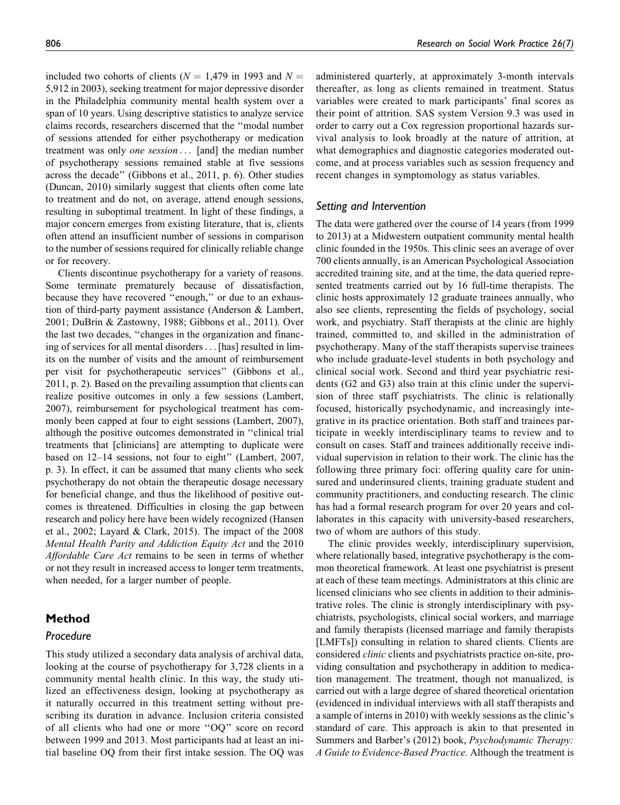included two cohorts of clients ( $N = 1,479$  in 1993 and  $N =$ 5,912 in 2003), seeking treatment for major depressive disorder in the Philadelphia community mental health system over a span of 10 years. Using descriptive statistics to analyze service claims records, researchers discerned that the ''modal number of sessions attended for either psychotherapy or medication treatment was only *one session* ... [and] the median number of psychotherapy sessions remained stable at five sessions across the decade'' (Gibbons et al., 2011, p. 6). Other studies (Duncan, 2010) similarly suggest that clients often come late to treatment and do not, on average, attend enough sessions, resulting in suboptimal treatment. In light of these findings, a major concern emerges from existing literature, that is, clients often attend an insufficient number of sessions in comparison to the number of sessions required for clinically reliable change or for recovery.

Clients discontinue psychotherapy for a variety of reasons. Some terminate prematurely because of dissatisfaction, because they have recovered "enough," or due to an exhaustion of third-party payment assistance (Anderson & Lambert, 2001; DuBrin & Zastowny, 1988; Gibbons et al., 2011). Over the last two decades, ''changes in the organization and financing of services for all mental disorders... [has] resulted in limits on the number of visits and the amount of reimbursement per visit for psychotherapeutic services'' (Gibbons et al., 2011, p. 2). Based on the prevailing assumption that clients can realize positive outcomes in only a few sessions (Lambert, 2007), reimbursement for psychological treatment has commonly been capped at four to eight sessions (Lambert, 2007), although the positive outcomes demonstrated in ''clinical trial treatments that [clinicians] are attempting to duplicate were based on 12–14 sessions, not four to eight" (Lambert, 2007, p. 3). In effect, it can be assumed that many clients who seek psychotherapy do not obtain the therapeutic dosage necessary for beneficial change, and thus the likelihood of positive outcomes is threatened. Difficulties in closing the gap between research and policy here have been widely recognized (Hansen et al., 2002; Layard & Clark, 2015). The impact of the 2008 Mental Health Parity and Addiction Equity Act and the 2010 Affordable Care Act remains to be seen in terms of whether or not they result in increased access to longer term treatments, when needed, for a larger number of people.

# Method

#### Procedure

This study utilized a secondary data analysis of archival data, looking at the course of psychotherapy for 3,728 clients in a community mental health clinic. In this way, the study utilized an effectiveness design, looking at psychotherapy as it naturally occurred in this treatment setting without prescribing its duration in advance. Inclusion criteria consisted of all clients who had one or more ''OQ'' score on record between 1999 and 2013. Most participants had at least an initial baseline OQ from their first intake session. The OQ was

administered quarterly, at approximately 3-month intervals thereafter, as long as clients remained in treatment. Status variables were created to mark participants' final scores as their point of attrition. SAS system Version 9.3 was used in order to carry out a Cox regression proportional hazards survival analysis to look broadly at the nature of attrition, at what demographics and diagnostic categories moderated outcome, and at process variables such as session frequency and recent changes in symptomology as status variables.

#### Setting and Intervention

The data were gathered over the course of 14 years (from 1999 to 2013) at a Midwestern outpatient community mental health clinic founded in the 1950s. This clinic sees an average of over 700 clients annually, is an American Psychological Association accredited training site, and at the time, the data queried represented treatments carried out by 16 full-time therapists. The clinic hosts approximately 12 graduate trainees annually, who also see clients, representing the fields of psychology, social work, and psychiatry. Staff therapists at the clinic are highly trained, committed to, and skilled in the administration of psychotherapy. Many of the staff therapists supervise trainees who include graduate-level students in both psychology and clinical social work. Second and third year psychiatric residents (G2 and G3) also train at this clinic under the supervision of three staff psychiatrists. The clinic is relationally focused, historically psychodynamic, and increasingly integrative in its practice orientation. Both staff and trainees participate in weekly interdisciplinary teams to review and to consult on cases. Staff and trainees additionally receive individual supervision in relation to their work. The clinic has the following three primary foci: offering quality care for uninsured and underinsured clients, training graduate student and community practitioners, and conducting research. The clinic has had a formal research program for over 20 years and collaborates in this capacity with university-based researchers, two of whom are authors of this study.

The clinic provides weekly, interdisciplinary supervision, where relationally based, integrative psychotherapy is the common theoretical framework. At least one psychiatrist is present at each of these team meetings. Administrators at this clinic are licensed clinicians who see clients in addition to their administrative roles. The clinic is strongly interdisciplinary with psychiatrists, psychologists, clinical social workers, and marriage and family therapists (licensed marriage and family therapists [LMFTs]) consulting in relation to shared clients. Clients are considered clinic clients and psychiatrists practice on-site, providing consultation and psychotherapy in addition to medication management. The treatment, though not manualized, is carried out with a large degree of shared theoretical orientation (evidenced in individual interviews with all staff therapists and a sample of interns in 2010) with weekly sessions as the clinic's standard of care. This approach is akin to that presented in Summers and Barber's (2012) book, Psychodynamic Therapy: A Guide to Evidence-Based Practice. Although the treatment is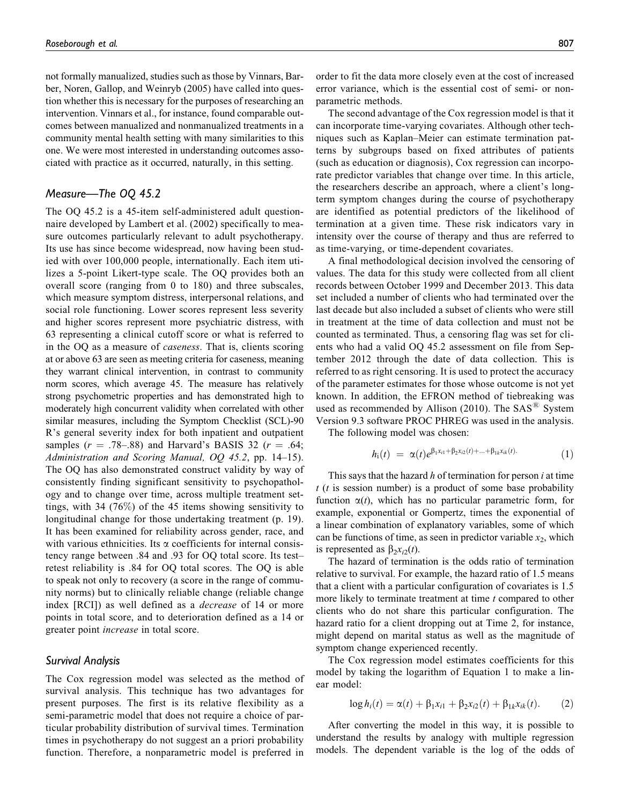not formally manualized, studies such as those by Vinnars, Barber, Noren, Gallop, and Weinryb (2005) have called into question whether this is necessary for the purposes of researching an intervention. Vinnars et al., for instance, found comparable outcomes between manualized and nonmanualized treatments in a community mental health setting with many similarities to this one. We were most interested in understanding outcomes associated with practice as it occurred, naturally, in this setting.

## Measure—The OQ 45.2

The OQ 45.2 is a 45-item self-administered adult questionnaire developed by Lambert et al. (2002) specifically to measure outcomes particularly relevant to adult psychotherapy. Its use has since become widespread, now having been studied with over 100,000 people, internationally. Each item utilizes a 5-point Likert-type scale. The OQ provides both an overall score (ranging from 0 to 180) and three subscales, which measure symptom distress, interpersonal relations, and social role functioning. Lower scores represent less severity and higher scores represent more psychiatric distress, with 63 representing a clinical cutoff score or what is referred to in the OQ as a measure of caseness. That is, clients scoring at or above 63 are seen as meeting criteria for caseness, meaning they warrant clinical intervention, in contrast to community norm scores, which average 45. The measure has relatively strong psychometric properties and has demonstrated high to moderately high concurrent validity when correlated with other similar measures, including the Symptom Checklist (SCL)-90 R's general severity index for both inpatient and outpatient samples  $(r = .78-.88)$  and Harvard's BASIS 32  $(r = .64;$ Administration and Scoring Manual, OQ 45.2, pp. 14-15). The OQ has also demonstrated construct validity by way of consistently finding significant sensitivity to psychopathology and to change over time, across multiple treatment settings, with 34 (76%) of the 45 items showing sensitivity to longitudinal change for those undertaking treatment (p. 19). It has been examined for reliability across gender, race, and with various ethnicities. Its  $\alpha$  coefficients for internal consistency range between .84 and .93 for OQ total score. Its test– retest reliability is .84 for OQ total scores. The OQ is able to speak not only to recovery (a score in the range of community norms) but to clinically reliable change (reliable change index [RCI]) as well defined as a *decrease* of 14 or more points in total score, and to deterioration defined as a 14 or greater point increase in total score.

#### Survival Analysis

The Cox regression model was selected as the method of survival analysis. This technique has two advantages for present purposes. The first is its relative flexibility as a semi-parametric model that does not require a choice of particular probability distribution of survival times. Termination times in psychotherapy do not suggest an a priori probability function. Therefore, a nonparametric model is preferred in

order to fit the data more closely even at the cost of increased error variance, which is the essential cost of semi- or nonparametric methods.

The second advantage of the Cox regression model is that it can incorporate time-varying covariates. Although other techniques such as Kaplan–Meier can estimate termination patterns by subgroups based on fixed attributes of patients (such as education or diagnosis), Cox regression can incorporate predictor variables that change over time. In this article, the researchers describe an approach, where a client's longterm symptom changes during the course of psychotherapy are identified as potential predictors of the likelihood of termination at a given time. These risk indicators vary in intensity over the course of therapy and thus are referred to as time-varying, or time-dependent covariates.

A final methodological decision involved the censoring of values. The data for this study were collected from all client records between October 1999 and December 2013. This data set included a number of clients who had terminated over the last decade but also included a subset of clients who were still in treatment at the time of data collection and must not be counted as terminated. Thus, a censoring flag was set for clients who had a valid OQ 45.2 assessment on file from September 2012 through the date of data collection. This is referred to as right censoring. It is used to protect the accuracy of the parameter estimates for those whose outcome is not yet known. In addition, the EFRON method of tiebreaking was used as recommended by Allison  $(2010)$ . The SAS<sup>®</sup> System Version 9.3 software PROC PHREG was used in the analysis.

The following model was chosen:

$$
h_{i}(t) = \alpha(t)e^{\beta_{1}x_{i1} + \beta_{2}x_{i2}(t) + \ldots + \beta_{1k}x_{ik}(t)}.
$$
 (1)

This says that the hazard  $h$  of termination for person  $i$  at time  $t$  (*t* is session number) is a product of some base probability function  $\alpha(t)$ , which has no particular parametric form, for example, exponential or Gompertz, times the exponential of a linear combination of explanatory variables, some of which can be functions of time, as seen in predictor variable  $x_2$ , which is represented as  $\beta_2 x_{i2}(t)$ .

The hazard of termination is the odds ratio of termination relative to survival. For example, the hazard ratio of 1.5 means that a client with a particular configuration of covariates is 1.5 more likely to terminate treatment at time  $t$  compared to other clients who do not share this particular configuration. The hazard ratio for a client dropping out at Time 2, for instance, might depend on marital status as well as the magnitude of symptom change experienced recently.

The Cox regression model estimates coefficients for this model by taking the logarithm of Equation 1 to make a linear model:

$$
\log h_i(t) = \alpha(t) + \beta_1 x_{i1} + \beta_2 x_{i2}(t) + \beta_{1k} x_{ik}(t). \tag{2}
$$

After converting the model in this way, it is possible to understand the results by analogy with multiple regression models. The dependent variable is the log of the odds of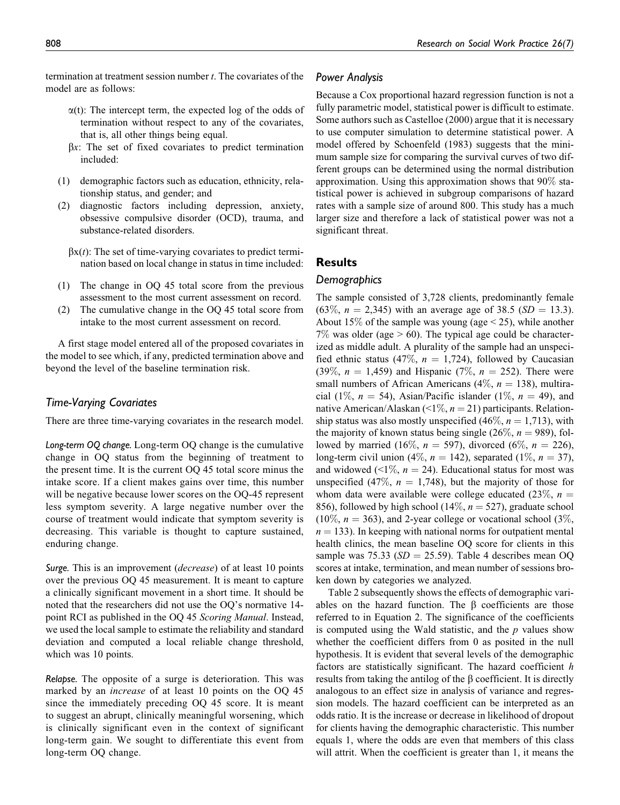termination at treatment session number  $t$ . The covariates of the model are as follows:

- $\alpha(t)$ : The intercept term, the expected log of the odds of termination without respect to any of the covariates, that is, all other things being equal.
- $\beta x$ : The set of fixed covariates to predict termination included:
- (1) demographic factors such as education, ethnicity, relationship status, and gender; and
- (2) diagnostic factors including depression, anxiety, obsessive compulsive disorder (OCD), trauma, and substance-related disorders.
	- $\beta$ x(*t*): The set of time-varying covariates to predict termination based on local change in status in time included:
- (1) The change in OQ 45 total score from the previous assessment to the most current assessment on record.
- (2) The cumulative change in the OQ 45 total score from intake to the most current assessment on record.

A first stage model entered all of the proposed covariates in the model to see which, if any, predicted termination above and beyond the level of the baseline termination risk.

#### Time-Varying Covariates

There are three time-varying covariates in the research model.

Long-term OQ change. Long-term OQ change is the cumulative change in OQ status from the beginning of treatment to the present time. It is the current OQ 45 total score minus the intake score. If a client makes gains over time, this number will be negative because lower scores on the OQ-45 represent less symptom severity. A large negative number over the course of treatment would indicate that symptom severity is decreasing. This variable is thought to capture sustained, enduring change.

Surge. This is an improvement *(decrease)* of at least 10 points over the previous OQ 45 measurement. It is meant to capture a clinically significant movement in a short time. It should be noted that the researchers did not use the OQ's normative 14 point RCI as published in the OQ 45 Scoring Manual. Instead, we used the local sample to estimate the reliability and standard deviation and computed a local reliable change threshold, which was 10 points.

Relapse. The opposite of a surge is deterioration. This was marked by an increase of at least 10 points on the OQ 45 since the immediately preceding OQ 45 score. It is meant to suggest an abrupt, clinically meaningful worsening, which is clinically significant even in the context of significant long-term gain. We sought to differentiate this event from long-term OQ change.

## Power Analysis

Because a Cox proportional hazard regression function is not a fully parametric model, statistical power is difficult to estimate. Some authors such as Castelloe (2000) argue that it is necessary to use computer simulation to determine statistical power. A model offered by Schoenfeld (1983) suggests that the minimum sample size for comparing the survival curves of two different groups can be determined using the normal distribution approximation. Using this approximation shows that 90% statistical power is achieved in subgroup comparisons of hazard rates with a sample size of around 800. This study has a much larger size and therefore a lack of statistical power was not a significant threat.

## **Results**

#### Demographics

The sample consisted of 3,728 clients, predominantly female  $(63\%, n = 2,345)$  with an average age of 38.5 (SD = 13.3). About 15% of the sample was young (age  $\leq$  25), while another  $7\%$  was older (age  $> 60$ ). The typical age could be characterized as middle adult. A plurality of the sample had an unspecified ethnic status (47%,  $n = 1,724$ ), followed by Caucasian (39%,  $n = 1,459$ ) and Hispanic (7%,  $n = 252$ ). There were small numbers of African Americans (4\%,  $n = 138$ ), multiracial (1%,  $n = 54$ ), Asian/Pacific islander (1%,  $n = 49$ ), and native American/Alaskan (<1%,  $n = 21$ ) participants. Relationship status was also mostly unspecified (46\%,  $n = 1,713$ ), with the majority of known status being single (26%,  $n = 989$ ), followed by married (16%,  $n = 597$ ), divorced (6%,  $n = 226$ ), long-term civil union (4%,  $n = 142$ ), separated (1%,  $n = 37$ ), and widowed (<1\%, n = 24). Educational status for most was unspecified (47\%,  $n = 1,748$ ), but the majority of those for whom data were available were college educated (23%,  $n =$ 856), followed by high school (14\%,  $n = 527$ ), graduate school  $(10\%, n = 363)$ , and 2-year college or vocational school  $(3\%, n = 363)$  $n = 133$ ). In keeping with national norms for outpatient mental health clinics, the mean baseline OQ score for clients in this sample was 75.33 ( $SD = 25.59$ ). Table 4 describes mean OQ scores at intake, termination, and mean number of sessions broken down by categories we analyzed.

Table 2 subsequently shows the effects of demographic variables on the hazard function. The  $\beta$  coefficients are those referred to in Equation 2. The significance of the coefficients is computed using the Wald statistic, and the  $p$  values show whether the coefficient differs from 0 as posited in the null hypothesis. It is evident that several levels of the demographic factors are statistically significant. The hazard coefficient h results from taking the antilog of the  $\beta$  coefficient. It is directly analogous to an effect size in analysis of variance and regression models. The hazard coefficient can be interpreted as an odds ratio. It is the increase or decrease in likelihood of dropout for clients having the demographic characteristic. This number equals 1, where the odds are even that members of this class will attrit. When the coefficient is greater than 1, it means the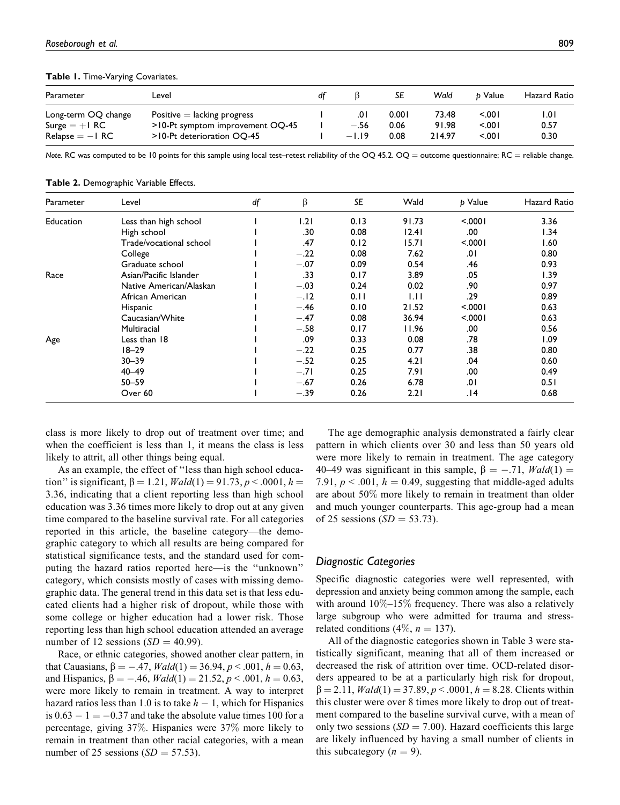|  | Table 1. Time-Varying Covariates. |  |
|--|-----------------------------------|--|
|--|-----------------------------------|--|

| Parameter           | Level                            |         | SE.   | Wald   | b Value | Hazard Ratio |
|---------------------|----------------------------------|---------|-------|--------|---------|--------------|
| Long-term OQ change | Positive $=$ lacking progress    |         | 0.001 | 73.48  | <.00⊺   | ا 0. ا       |
| $S$ urge $= +1$ RC  | >10-Pt symptom improvement OQ-45 | $-.56$  | 0.06  | 91.98  | $500 -$ | 0.57         |
| $Relapse = -1 RC$   | >10-Pt deterioration OO-45       | $-1.19$ | 0.08  | 214.97 | $500 -$ | 0.30         |

Note. RC was computed to be 10 points for this sample using local test–retest reliability of the OQ 45.2. OQ = outcome questionnaire; RC = reliable change.

Table 2. Demographic Variable Effects.

| Parameter | Level                   | df | β      | <b>SE</b> | Wald  | <b>b</b> Value | Hazard Ratio |
|-----------|-------------------------|----|--------|-----------|-------|----------------|--------------|
| Education | Less than high school   |    | 1.21   | 0.13      | 91.73 | < 0001         | 3.36         |
|           | High school             |    | .30    | 0.08      | 12.41 | .00            | 1.34         |
|           | Trade/vocational school |    | .47    | 0.12      | 15.71 | < 0001         | 1.60         |
|           | College                 |    | $-.22$ | 0.08      | 7.62  | 0١.            | 0.80         |
|           | Graduate school         |    | $-.07$ | 0.09      | 0.54  | .46            | 0.93         |
| Race      | Asian/Pacific Islander  |    | .33    | 0.17      | 3.89  | .05            | 1.39         |
|           | Native American/Alaskan |    | $-.03$ | 0.24      | 0.02  | .90            | 0.97         |
|           | African American        |    | $-.12$ | 0.11      | 1.11  | .29            | 0.89         |
|           | Hispanic                |    | $-.46$ | 0.10      | 21.52 | < .0001        | 0.63         |
|           | Caucasian/White         |    | $-.47$ | 0.08      | 36.94 | < 0001         | 0.63         |
|           | Multiracial             |    | $-.58$ | 0.17      | 11.96 | .00            | 0.56         |
| Age       | Less than 18            |    | .09    | 0.33      | 0.08  | .78            | 1.09         |
|           | $18 - 29$               |    | $-.22$ | 0.25      | 0.77  | .38            | 0.80         |
|           | $30 - 39$               |    | $-.52$ | 0.25      | 4.21  | .04            | 0.60         |
|           | $40 - 49$               |    | $-.71$ | 0.25      | 7.91  | .00            | 0.49         |
|           | $50 - 59$               |    | $-.67$ | 0.26      | 6.78  | 0١.            | 0.51         |
|           | Over 60                 |    | $-.39$ | 0.26      | 2.21  | 14.            | 0.68         |

class is more likely to drop out of treatment over time; and when the coefficient is less than 1, it means the class is less likely to attrit, all other things being equal.

As an example, the effect of ''less than high school education" is significant,  $\beta = 1.21$ ,  $Wald(1) = 91.73$ ,  $p < .0001$ ,  $h =$ 3.36, indicating that a client reporting less than high school education was 3.36 times more likely to drop out at any given time compared to the baseline survival rate. For all categories reported in this article, the baseline category—the demographic category to which all results are being compared for statistical significance tests, and the standard used for computing the hazard ratios reported here—is the ''unknown'' category, which consists mostly of cases with missing demographic data. The general trend in this data set is that less educated clients had a higher risk of dropout, while those with some college or higher education had a lower risk. Those reporting less than high school education attended an average number of 12 sessions  $(SD = 40.99)$ .

Race, or ethnic categories, showed another clear pattern, in that Cauasians,  $\beta = -.47$ ,  $Wald(1) = 36.94$ ,  $p < .001$ ,  $h = 0.63$ , and Hispanics,  $\beta = -.46$ ,  $Wald(1) = 21.52$ ,  $p < .001$ ,  $h = 0.63$ , were more likely to remain in treatment. A way to interpret hazard ratios less than 1.0 is to take  $h-1$ , which for Hispanics is  $0.63 - 1 = -0.37$  and take the absolute value times 100 for a percentage, giving 37%. Hispanics were 37% more likely to remain in treatment than other racial categories, with a mean number of 25 sessions  $(SD = 57.53)$ .

The age demographic analysis demonstrated a fairly clear pattern in which clients over 30 and less than 50 years old were more likely to remain in treatment. The age category 40–49 was significant in this sample,  $\beta = -.71$ ,  $Wald(1) =$ 7.91,  $p < .001$ ,  $h = 0.49$ , suggesting that middle-aged adults are about 50% more likely to remain in treatment than older and much younger counterparts. This age-group had a mean of 25 sessions  $(SD = 53.73)$ .

#### Diagnostic Categories

Specific diagnostic categories were well represented, with depression and anxiety being common among the sample, each with around  $10\% - 15\%$  frequency. There was also a relatively large subgroup who were admitted for trauma and stressrelated conditions (4\%,  $n = 137$ ).

All of the diagnostic categories shown in Table 3 were statistically significant, meaning that all of them increased or decreased the risk of attrition over time. OCD-related disorders appeared to be at a particularly high risk for dropout,  $\beta = 2.11$ , *Wald*(1) = 37.89, *p* < .0001, *h* = 8.28. Clients within this cluster were over 8 times more likely to drop out of treatment compared to the baseline survival curve, with a mean of only two sessions  $(SD = 7.00)$ . Hazard coefficients this large are likely influenced by having a small number of clients in this subcategory  $(n = 9)$ .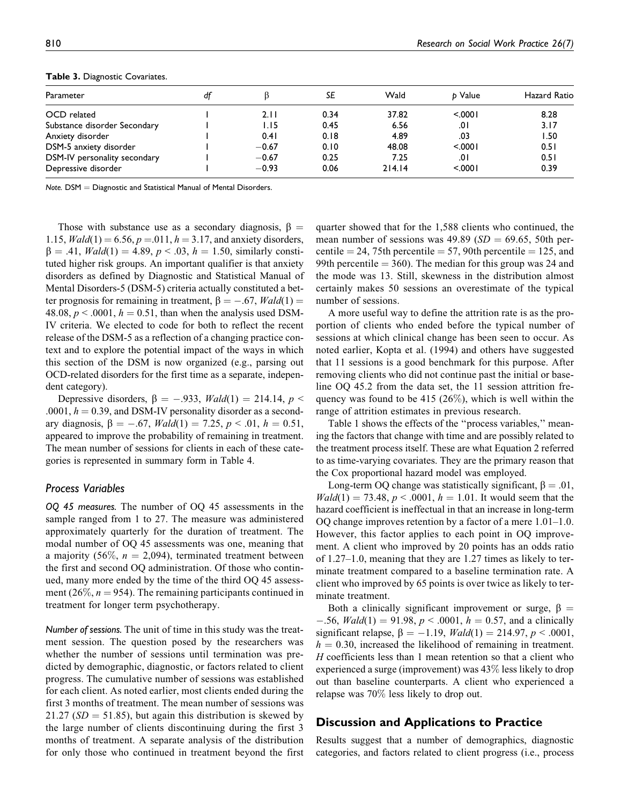| Parameter                    | df |         | SE   | Wald   | b Value | Hazard Ratio |
|------------------------------|----|---------|------|--------|---------|--------------|
| OCD related                  |    | 2.11    | 0.34 | 37.82  | < 0001  | 8.28         |
| Substance disorder Secondary |    | I.I5    | 0.45 | 6.56   | .0۱     | 3.17         |
| Anxiety disorder             |    | 0.41    | 0.18 | 4.89   | .03     | I.50         |
| DSM-5 anxiety disorder       |    | $-0.67$ | 0.10 | 48.08  | < 0001  | 0.51         |
| DSM-IV personality secondary |    | $-0.67$ | 0.25 | 7.25   | .01     | 0.51         |
| Depressive disorder          |    | $-0.93$ | 0.06 | 214.14 | < 0001  | 0.39         |

#### Table 3. Diagnostic Covariates.

 $Note.$   $DSM =$  Diagnostic and Statistical Manual of Mental Disorders.

Those with substance use as a secondary diagnosis,  $\beta =$ 1.15,  $Wald(1) = 6.56, p = .011, h = 3.17,$  and anxiety disorders,  $\beta = .41$ , *Wald*(1) = 4.89, p < .03, h = 1.50, similarly constituted higher risk groups. An important qualifier is that anxiety disorders as defined by Diagnostic and Statistical Manual of Mental Disorders-5 (DSM-5) criteria actually constituted a better prognosis for remaining in treatment,  $\beta = -.67$ ,  $Wald(1) =$ 48.08,  $p < .0001$ ,  $h = 0.51$ , than when the analysis used DSM-IV criteria. We elected to code for both to reflect the recent release of the DSM-5 as a reflection of a changing practice context and to explore the potential impact of the ways in which this section of the DSM is now organized (e.g., parsing out OCD-related disorders for the first time as a separate, independent category).

Depressive disorders,  $\beta = -.933$ ,  $Wald(1) = 214.14$ ,  $p <$ .0001,  $h = 0.39$ , and DSM-IV personality disorder as a secondary diagnosis,  $\beta = -.67$ ,  $Wald(1) = 7.25$ ,  $p < .01$ ,  $h = 0.51$ , appeared to improve the probability of remaining in treatment. The mean number of sessions for clients in each of these categories is represented in summary form in Table 4.

#### Process Variables

OQ 45 measures. The number of OQ 45 assessments in the sample ranged from 1 to 27. The measure was administered approximately quarterly for the duration of treatment. The modal number of OQ 45 assessments was one, meaning that a majority (56%,  $n = 2,094$ ), terminated treatment between the first and second OQ administration. Of those who continued, many more ended by the time of the third OQ 45 assessment (26\%,  $n = 954$ ). The remaining participants continued in treatment for longer term psychotherapy.

Number of sessions. The unit of time in this study was the treatment session. The question posed by the researchers was whether the number of sessions until termination was predicted by demographic, diagnostic, or factors related to client progress. The cumulative number of sessions was established for each client. As noted earlier, most clients ended during the first 3 months of treatment. The mean number of sessions was 21.27 ( $SD = 51.85$ ), but again this distribution is skewed by the large number of clients discontinuing during the first 3 months of treatment. A separate analysis of the distribution for only those who continued in treatment beyond the first

quarter showed that for the 1,588 clients who continued, the mean number of sessions was 49.89 ( $SD = 69.65$ , 50th percentile  $= 24$ , 75th percentile  $= 57$ , 90th percentile  $= 125$ , and 99th percentile  $= 360$ ). The median for this group was 24 and the mode was 13. Still, skewness in the distribution almost certainly makes 50 sessions an overestimate of the typical number of sessions.

A more useful way to define the attrition rate is as the proportion of clients who ended before the typical number of sessions at which clinical change has been seen to occur. As noted earlier, Kopta et al. (1994) and others have suggested that 11 sessions is a good benchmark for this purpose. After removing clients who did not continue past the initial or baseline OQ 45.2 from the data set, the 11 session attrition frequency was found to be  $415 (26\%)$ , which is well within the range of attrition estimates in previous research.

Table 1 shows the effects of the ''process variables,'' meaning the factors that change with time and are possibly related to the treatment process itself. These are what Equation 2 referred to as time-varying covariates. They are the primary reason that the Cox proportional hazard model was employed.

Long-term OQ change was statistically significant,  $\beta = .01$ ,  $Wald(1) = 73.48, p < .0001, h = 1.01$ . It would seem that the hazard coefficient is ineffectual in that an increase in long-term OQ change improves retention by a factor of a mere 1.01–1.0. However, this factor applies to each point in OQ improvement. A client who improved by 20 points has an odds ratio of 1.27–1.0, meaning that they are 1.27 times as likely to terminate treatment compared to a baseline termination rate. A client who improved by 65 points is over twice as likely to terminate treatment.

Both a clinically significant improvement or surge,  $\beta =$  $-.56$ , *Wald*(1) = 91.98,  $p < .0001$ ,  $h = 0.57$ , and a clinically significant relapse,  $\beta = -1.19$ ,  $Wald(1) = 214.97$ ,  $p < .0001$ ,  $h = 0.30$ , increased the likelihood of remaining in treatment. H coefficients less than 1 mean retention so that a client who experienced a surge (improvement) was 43% less likely to drop out than baseline counterparts. A client who experienced a relapse was 70% less likely to drop out.

#### Discussion and Applications to Practice

Results suggest that a number of demographics, diagnostic categories, and factors related to client progress (i.e., process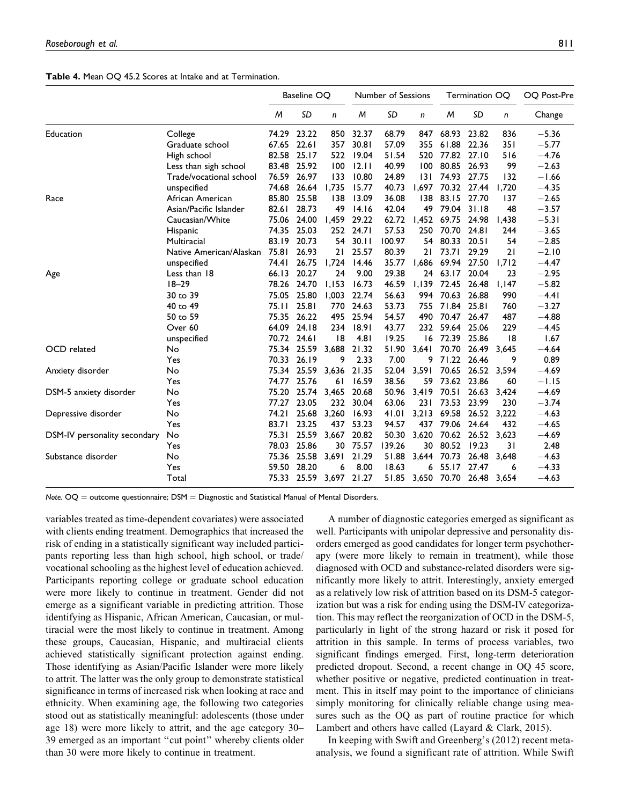| Table 4. Mean OQ 45.2 Scores at Intake and at Termination. |  |  |
|------------------------------------------------------------|--|--|
|------------------------------------------------------------|--|--|

|                              |                         | Baseline OQ |       | Number of Sessions |       |        | Termination OQ |             |             | OQ Post-Pre |         |
|------------------------------|-------------------------|-------------|-------|--------------------|-------|--------|----------------|-------------|-------------|-------------|---------|
|                              |                         | M           | SD    | n                  | M     | SD     | n              | M           | SD          | n           | Change  |
| Education                    | College                 | 74.29       | 23.22 | 850                | 32.37 | 68.79  | 847            | 68.93       | 23.82       | 836         | $-5.36$ |
|                              | Graduate school         | 67.65       | 22.61 | 357                | 30.81 | 57.09  | 355            | 61.88       | 22.36       | 351         | $-5.77$ |
|                              | High school             | 82.58       | 25.17 | 522                | 19.04 | 51.54  | 520            | 77.82       | 27.10       | 516         | $-4.76$ |
|                              | Less than sigh school   | 83.48       | 25.92 | 100                | 12.11 | 40.99  | 100            | 80.85       | 26.93       | 99          | $-2.63$ |
|                              | Trade/vocational school | 76.59       | 26.97 | 133                | 10.80 | 24.89  | 3              | 74.93       | 27.75       | 132         | $-1.66$ |
|                              | unspecified             | 74.68       | 26.64 | 1.735              | 15.77 | 40.73  | 1.697          | 70.32       | 27.44       | 1.720       | $-4.35$ |
| Race                         | African American        | 85.80       | 25.58 | 138                | 13.09 | 36.08  | 138            | 83.15       | 27.70       | 137         | $-2.65$ |
|                              | Asian/Pacific Islander  | 82.61       | 28.73 | 49                 | 14.16 | 42.04  | 49             | 79.04       | 31.18       | 48          | $-3.57$ |
|                              | Caucasian/White         | 75.06       | 24.00 | 1.459              | 29.22 | 62.72  | 1.452          | 69.75       | 24.98       | 1.438       | $-5.31$ |
|                              | Hispanic                | 74.35       | 25.03 | 252                | 24.71 | 57.53  | 250            | 70.70       | 24.81       | 244         | $-3.65$ |
|                              | Multiracial             | 83.19       | 20.73 | 54                 | 30.11 | 100.97 | 54             | 80.33       | 20.51       | 54          | $-2.85$ |
|                              | Native American/Alaskan | 75.81       | 26.93 | 21                 | 25.57 | 80.39  | 21             | 73.71       | 29.29       | 21          | $-2.10$ |
|                              | unspecified             | 74.41       | 26.75 | 1,724              | 14.46 | 35.77  | 1.686          | 69.94       | 27.50       | 1.712       | $-4.47$ |
| Age                          | Less than 18            | 66.13       | 20.27 | 24                 | 9.00  | 29.38  | 24             | 63.17       | 20.04       | 23          | $-2.95$ |
|                              | $18 - 29$               | 78.26       | 24.70 | 1.153              | 16.73 | 46.59  | 1.139          | 72.45       | 26.48       | 1,147       | $-5.82$ |
|                              | 30 to 39                | 75.05       | 25.80 | 1.003              | 22.74 | 56.63  | 994            | 70.63       | 26.88       | 990         | $-4.41$ |
|                              | 40 to 49                | 75.11       | 25.81 | 770                | 24.63 | 53.73  | 755            | 71.84       | 25.81       | 760         | $-3.27$ |
|                              | 50 to 59                | 75.35       | 26.22 | 495                | 25.94 | 54.57  | 490            | 70.47       | 26.47       | 487         | $-4.88$ |
|                              | Over 60                 | 64.09       | 24.18 | 234                | 18.91 | 43.77  | 232            | 59.64       | 25.06       | 229         | $-4.45$ |
|                              | unspecified             | 70.72       | 24.61 | 8                  | 4.81  | 19.25  | 16             | 72.39       | 25.86       | 18          | 1.67    |
| OCD related                  | No                      | 75.34       | 25.59 | 3.688              | 21.32 | 51.90  | 3.641          | 70.70       | 26.49       | 3.645       | $-4.64$ |
|                              | Yes                     | 70.33       | 26.19 | 9                  | 2.33  | 7.00   | 9              | 71.22       | 26.46       | 9           | 0.89    |
| Anxiety disorder             | No                      | 75.34       | 25.59 | 3,636              | 21.35 | 52.04  | 3.591          | 70.65       | 26.52 3.594 |             | $-4.69$ |
|                              | Yes                     | 74.77       | 25.76 | 6 I                | 16.59 | 38.56  | 59             | 73.62       | 23.86       | 60          | $-1.15$ |
| DSM-5 anxiety disorder       | No                      | 75.20       | 25.74 | 3,465              | 20.68 | 50.96  | 3,419          | 70.51       | 26.63       | 3,424       | $-4.69$ |
|                              | Yes                     | 77.27       | 23.05 | 232                | 30.04 | 63.06  | 231            | 73.53       | 23.99       | 230         | $-3.74$ |
| Depressive disorder          | No                      | 74.2 I      | 25.68 | 3,260              | 16.93 | 41.01  | 3,213          | 69.58       | 26.52       | 3,222       | $-4.63$ |
|                              | Yes                     | 83.71       | 23.25 | 437                | 53.23 | 94.57  | 437            | 79.06       | 24.64       | 432         | $-4.65$ |
| DSM-IV personality secondary | No                      | 75.31       | 25.59 | 3.667              | 20.82 | 50.30  | 3.620          | 70.62       | 26.52       | 3.623       | $-4.69$ |
|                              | Yes                     | 78.03       | 25.86 | 30                 | 75.57 | 139.26 | 30             | 80.52       | 19.23       | 31          | 2.48    |
| Substance disorder           | No                      | 75.36       | 25.58 | 3,691              | 21.29 | 51.88  | 3,644          | 70.73       | 26.48       | 3,648       | $-4.63$ |
|                              | Yes                     | 59.50       | 28.20 | 6                  | 8.00  | 18.63  | 6              | 55.17       | 27.47       | 6           | $-4.33$ |
|                              | Total                   | 75.33       | 25.59 | 3,697              | 21.27 | 51.85  | 3,650          | 70.70 26.48 |             | 3,654       | $-4.63$ |

Note.  $OQ =$  outcome questionnaire;  $DSM =$  Diagnostic and Statistical Manual of Mental Disorders.

variables treated as time-dependent covariates) were associated with clients ending treatment. Demographics that increased the risk of ending in a statistically significant way included participants reporting less than high school, high school, or trade/ vocational schooling as the highest level of education achieved. Participants reporting college or graduate school education were more likely to continue in treatment. Gender did not emerge as a significant variable in predicting attrition. Those identifying as Hispanic, African American, Caucasian, or multiracial were the most likely to continue in treatment. Among these groups, Caucasian, Hispanic, and multiracial clients achieved statistically significant protection against ending. Those identifying as Asian/Pacific Islander were more likely to attrit. The latter was the only group to demonstrate statistical significance in terms of increased risk when looking at race and ethnicity. When examining age, the following two categories stood out as statistically meaningful: adolescents (those under age 18) were more likely to attrit, and the age category 30– 39 emerged as an important ''cut point'' whereby clients older than 30 were more likely to continue in treatment.

A number of diagnostic categories emerged as significant as well. Participants with unipolar depressive and personality disorders emerged as good candidates for longer term psychotherapy (were more likely to remain in treatment), while those diagnosed with OCD and substance-related disorders were significantly more likely to attrit. Interestingly, anxiety emerged as a relatively low risk of attrition based on its DSM-5 categorization but was a risk for ending using the DSM-IV categorization. This may reflect the reorganization of OCD in the DSM-5, particularly in light of the strong hazard or risk it posed for attrition in this sample. In terms of process variables, two significant findings emerged. First, long-term deterioration predicted dropout. Second, a recent change in OQ 45 score, whether positive or negative, predicted continuation in treatment. This in itself may point to the importance of clinicians simply monitoring for clinically reliable change using measures such as the OQ as part of routine practice for which Lambert and others have called (Layard & Clark, 2015).

In keeping with Swift and Greenberg's (2012) recent metaanalysis, we found a significant rate of attrition. While Swift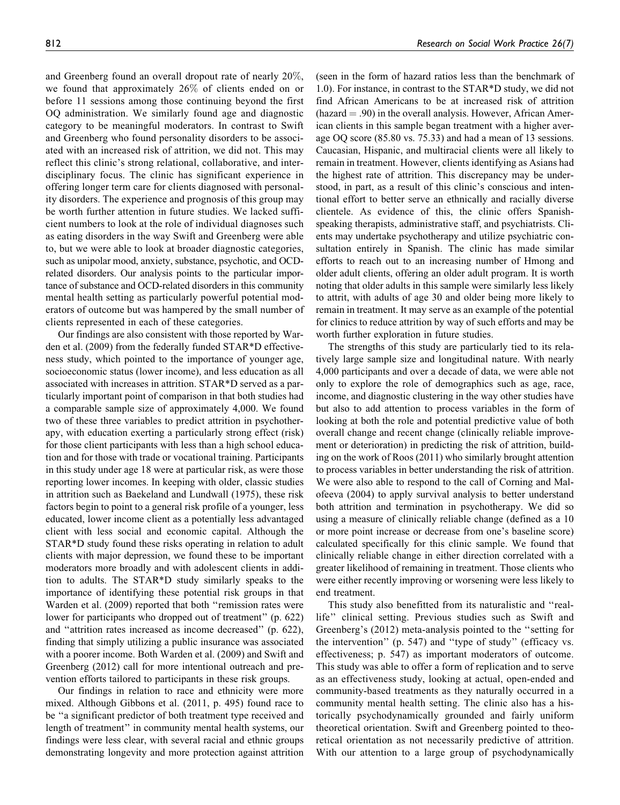and Greenberg found an overall dropout rate of nearly 20%, we found that approximately 26% of clients ended on or before 11 sessions among those continuing beyond the first OQ administration. We similarly found age and diagnostic category to be meaningful moderators. In contrast to Swift and Greenberg who found personality disorders to be associated with an increased risk of attrition, we did not. This may reflect this clinic's strong relational, collaborative, and interdisciplinary focus. The clinic has significant experience in offering longer term care for clients diagnosed with personality disorders. The experience and prognosis of this group may be worth further attention in future studies. We lacked sufficient numbers to look at the role of individual diagnoses such as eating disorders in the way Swift and Greenberg were able to, but we were able to look at broader diagnostic categories, such as unipolar mood, anxiety, substance, psychotic, and OCDrelated disorders. Our analysis points to the particular importance of substance and OCD-related disorders in this community mental health setting as particularly powerful potential moderators of outcome but was hampered by the small number of clients represented in each of these categories.

Our findings are also consistent with those reported by Warden et al. (2009) from the federally funded STAR\*D effectiveness study, which pointed to the importance of younger age, socioeconomic status (lower income), and less education as all associated with increases in attrition. STAR\*D served as a particularly important point of comparison in that both studies had a comparable sample size of approximately 4,000. We found two of these three variables to predict attrition in psychotherapy, with education exerting a particularly strong effect (risk) for those client participants with less than a high school education and for those with trade or vocational training. Participants in this study under age 18 were at particular risk, as were those reporting lower incomes. In keeping with older, classic studies in attrition such as Baekeland and Lundwall (1975), these risk factors begin to point to a general risk profile of a younger, less educated, lower income client as a potentially less advantaged client with less social and economic capital. Although the STAR\*D study found these risks operating in relation to adult clients with major depression, we found these to be important moderators more broadly and with adolescent clients in addition to adults. The STAR\*D study similarly speaks to the importance of identifying these potential risk groups in that Warden et al. (2009) reported that both ''remission rates were lower for participants who dropped out of treatment" (p. 622) and ''attrition rates increased as income decreased'' (p. 622), finding that simply utilizing a public insurance was associated with a poorer income. Both Warden et al. (2009) and Swift and Greenberg (2012) call for more intentional outreach and prevention efforts tailored to participants in these risk groups.

Our findings in relation to race and ethnicity were more mixed. Although Gibbons et al. (2011, p. 495) found race to be ''a significant predictor of both treatment type received and length of treatment'' in community mental health systems, our findings were less clear, with several racial and ethnic groups demonstrating longevity and more protection against attrition (seen in the form of hazard ratios less than the benchmark of 1.0). For instance, in contrast to the STAR\*D study, we did not find African Americans to be at increased risk of attrition  $(hazard = .90)$  in the overall analysis. However, African American clients in this sample began treatment with a higher average OQ score (85.80 vs. 75.33) and had a mean of 13 sessions. Caucasian, Hispanic, and multiracial clients were all likely to remain in treatment. However, clients identifying as Asians had the highest rate of attrition. This discrepancy may be understood, in part, as a result of this clinic's conscious and intentional effort to better serve an ethnically and racially diverse clientele. As evidence of this, the clinic offers Spanishspeaking therapists, administrative staff, and psychiatrists. Clients may undertake psychotherapy and utilize psychiatric consultation entirely in Spanish. The clinic has made similar efforts to reach out to an increasing number of Hmong and older adult clients, offering an older adult program. It is worth noting that older adults in this sample were similarly less likely to attrit, with adults of age 30 and older being more likely to remain in treatment. It may serve as an example of the potential for clinics to reduce attrition by way of such efforts and may be worth further exploration in future studies.

The strengths of this study are particularly tied to its relatively large sample size and longitudinal nature. With nearly 4,000 participants and over a decade of data, we were able not only to explore the role of demographics such as age, race, income, and diagnostic clustering in the way other studies have but also to add attention to process variables in the form of looking at both the role and potential predictive value of both overall change and recent change (clinically reliable improvement or deterioration) in predicting the risk of attrition, building on the work of Roos (2011) who similarly brought attention to process variables in better understanding the risk of attrition. We were also able to respond to the call of Corning and Malofeeva (2004) to apply survival analysis to better understand both attrition and termination in psychotherapy. We did so using a measure of clinically reliable change (defined as a 10 or more point increase or decrease from one's baseline score) calculated specifically for this clinic sample. We found that clinically reliable change in either direction correlated with a greater likelihood of remaining in treatment. Those clients who were either recently improving or worsening were less likely to end treatment.

This study also benefitted from its naturalistic and ''reallife'' clinical setting. Previous studies such as Swift and Greenberg's (2012) meta-analysis pointed to the ''setting for the intervention'' (p. 547) and ''type of study'' (efficacy vs. effectiveness; p. 547) as important moderators of outcome. This study was able to offer a form of replication and to serve as an effectiveness study, looking at actual, open-ended and community-based treatments as they naturally occurred in a community mental health setting. The clinic also has a historically psychodynamically grounded and fairly uniform theoretical orientation. Swift and Greenberg pointed to theoretical orientation as not necessarily predictive of attrition. With our attention to a large group of psychodynamically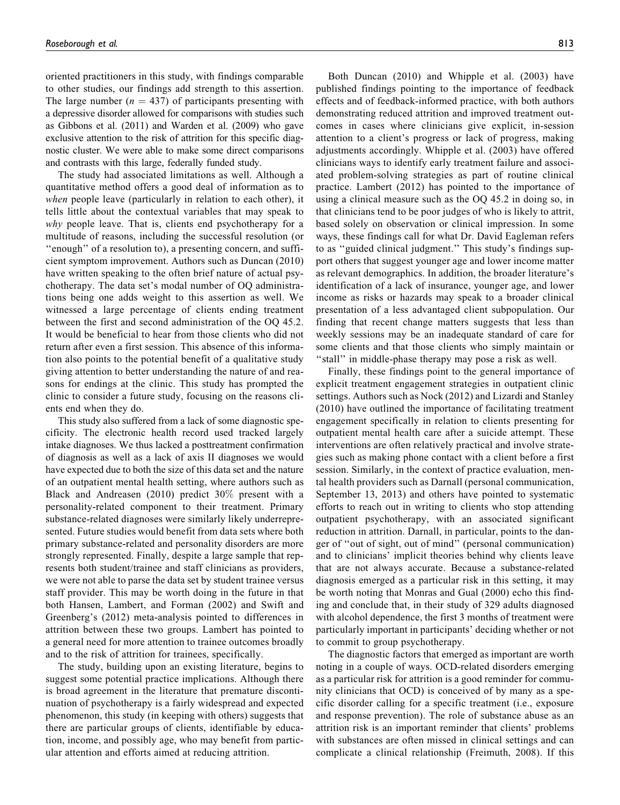oriented practitioners in this study, with findings comparable to other studies, our findings add strength to this assertion. The large number ( $n = 437$ ) of participants presenting with a depressive disorder allowed for comparisons with studies such as Gibbons et al. (2011) and Warden et al. (2009) who gave exclusive attention to the risk of attrition for this specific diagnostic cluster. We were able to make some direct comparisons and contrasts with this large, federally funded study.

The study had associated limitations as well. Although a quantitative method offers a good deal of information as to when people leave (particularly in relation to each other), it tells little about the contextual variables that may speak to why people leave. That is, clients end psychotherapy for a multitude of reasons, including the successful resolution (or ''enough'' of a resolution to), a presenting concern, and sufficient symptom improvement. Authors such as Duncan (2010) have written speaking to the often brief nature of actual psychotherapy. The data set's modal number of OQ administrations being one adds weight to this assertion as well. We witnessed a large percentage of clients ending treatment between the first and second administration of the OQ 45.2. It would be beneficial to hear from those clients who did not return after even a first session. This absence of this information also points to the potential benefit of a qualitative study giving attention to better understanding the nature of and reasons for endings at the clinic. This study has prompted the clinic to consider a future study, focusing on the reasons clients end when they do.

This study also suffered from a lack of some diagnostic specificity. The electronic health record used tracked largely intake diagnoses. We thus lacked a posttreatment confirmation of diagnosis as well as a lack of axis II diagnoses we would have expected due to both the size of this data set and the nature of an outpatient mental health setting, where authors such as Black and Andreasen (2010) predict 30% present with a personality-related component to their treatment. Primary substance-related diagnoses were similarly likely underrepresented. Future studies would benefit from data sets where both primary substance-related and personality disorders are more strongly represented. Finally, despite a large sample that represents both student/trainee and staff clinicians as providers, we were not able to parse the data set by student trainee versus staff provider. This may be worth doing in the future in that both Hansen, Lambert, and Forman (2002) and Swift and Greenberg's (2012) meta-analysis pointed to differences in attrition between these two groups. Lambert has pointed to a general need for more attention to trainee outcomes broadly and to the risk of attrition for trainees, specifically.

The study, building upon an existing literature, begins to suggest some potential practice implications. Although there is broad agreement in the literature that premature discontinuation of psychotherapy is a fairly widespread and expected phenomenon, this study (in keeping with others) suggests that there are particular groups of clients, identifiable by education, income, and possibly age, who may benefit from particular attention and efforts aimed at reducing attrition.

Both Duncan (2010) and Whipple et al. (2003) have published findings pointing to the importance of feedback effects and of feedback-informed practice, with both authors demonstrating reduced attrition and improved treatment outcomes in cases where clinicians give explicit, in-session attention to a client's progress or lack of progress, making adjustments accordingly. Whipple et al. (2003) have offered clinicians ways to identify early treatment failure and associated problem-solving strategies as part of routine clinical practice. Lambert (2012) has pointed to the importance of using a clinical measure such as the OQ 45.2 in doing so, in that clinicians tend to be poor judges of who is likely to attrit, based solely on observation or clinical impression. In some ways, these findings call for what Dr. David Eagleman refers to as ''guided clinical judgment.'' This study's findings support others that suggest younger age and lower income matter as relevant demographics. In addition, the broader literature's identification of a lack of insurance, younger age, and lower income as risks or hazards may speak to a broader clinical presentation of a less advantaged client subpopulation. Our finding that recent change matters suggests that less than weekly sessions may be an inadequate standard of care for some clients and that those clients who simply maintain or "stall" in middle-phase therapy may pose a risk as well.

Finally, these findings point to the general importance of explicit treatment engagement strategies in outpatient clinic settings. Authors such as Nock (2012) and Lizardi and Stanley (2010) have outlined the importance of facilitating treatment engagement specifically in relation to clients presenting for outpatient mental health care after a suicide attempt. These interventions are often relatively practical and involve strategies such as making phone contact with a client before a first session. Similarly, in the context of practice evaluation, mental health providers such as Darnall (personal communication, September 13, 2013) and others have pointed to systematic efforts to reach out in writing to clients who stop attending outpatient psychotherapy, with an associated significant reduction in attrition. Darnall, in particular, points to the danger of ''out of sight, out of mind'' (personal communication) and to clinicians' implicit theories behind why clients leave that are not always accurate. Because a substance-related diagnosis emerged as a particular risk in this setting, it may be worth noting that Monras and Gual (2000) echo this finding and conclude that, in their study of 329 adults diagnosed with alcohol dependence, the first 3 months of treatment were particularly important in participants' deciding whether or not to commit to group psychotherapy.

The diagnostic factors that emerged as important are worth noting in a couple of ways. OCD-related disorders emerging as a particular risk for attrition is a good reminder for community clinicians that OCD) is conceived of by many as a specific disorder calling for a specific treatment (i.e., exposure and response prevention). The role of substance abuse as an attrition risk is an important reminder that clients' problems with substances are often missed in clinical settings and can complicate a clinical relationship (Freimuth, 2008). If this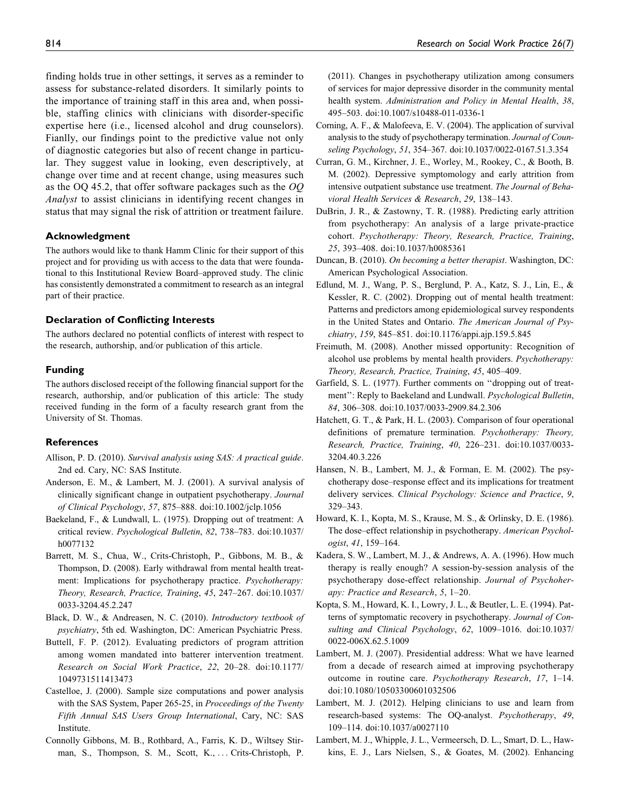finding holds true in other settings, it serves as a reminder to assess for substance-related disorders. It similarly points to the importance of training staff in this area and, when possible, staffing clinics with clinicians with disorder-specific expertise here (i.e., licensed alcohol and drug counselors). Fianlly, our findings point to the predictive value not only of diagnostic categories but also of recent change in particular. They suggest value in looking, even descriptively, at change over time and at recent change, using measures such as the OQ 45.2, that offer software packages such as the OQ Analyst to assist clinicians in identifying recent changes in status that may signal the risk of attrition or treatment failure.

#### Acknowledgment

The authors would like to thank Hamm Clinic for their support of this project and for providing us with access to the data that were foundational to this Institutional Review Board–approved study. The clinic has consistently demonstrated a commitment to research as an integral part of their practice.

#### Declaration of Conflicting Interests

The authors declared no potential conflicts of interest with respect to the research, authorship, and/or publication of this article.

## Funding

The authors disclosed receipt of the following financial support for the research, authorship, and/or publication of this article: The study received funding in the form of a faculty research grant from the University of St. Thomas.

#### **References**

- Allison, P. D. (2010). Survival analysis using SAS: A practical guide. 2nd ed. Cary, NC: SAS Institute.
- Anderson, E. M., & Lambert, M. J. (2001). A survival analysis of clinically significant change in outpatient psychotherapy. Journal of Clinical Psychology, 57, 875–888. doi:10.1002/jclp.1056
- Baekeland, F., & Lundwall, L. (1975). Dropping out of treatment: A critical review. Psychological Bulletin, 82, 738–783. doi:10.1037/ h0077132
- Barrett, M. S., Chua, W., Crits-Christoph, P., Gibbons, M. B., & Thompson, D. (2008). Early withdrawal from mental health treatment: Implications for psychotherapy practice. Psychotherapy: Theory, Research, Practice, Training, 45, 247–267. doi:10.1037/ 0033-3204.45.2.247
- Black, D. W., & Andreasen, N. C. (2010). Introductory textbook of psychiatry, 5th ed. Washington, DC: American Psychiatric Press.
- Buttell, F. P. (2012). Evaluating predictors of program attrition among women mandated into batterer intervention treatment. Research on Social Work Practice, 22, 20–28. doi:10.1177/ 1049731511413473
- Castelloe, J. (2000). Sample size computations and power analysis with the SAS System, Paper 265-25, in Proceedings of the Twenty Fifth Annual SAS Users Group International, Cary, NC: SAS **Institute**
- Connolly Gibbons, M. B., Rothbard, A., Farris, K. D., Wiltsey Stirman, S., Thompson, S. M., Scott, K., ... Crits-Christoph, P.

(2011). Changes in psychotherapy utilization among consumers of services for major depressive disorder in the community mental health system. Administration and Policy in Mental Health, 38, 495–503. doi:10.1007/s10488-011-0336-1

- Corning, A. F., & Malofeeva, E. V. (2004). The application of survival analysis to the study of psychotherapy termination. Journal of Counseling Psychology, 51, 354–367. doi:10.1037/0022-0167.51.3.354
- Curran, G. M., Kirchner, J. E., Worley, M., Rookey, C., & Booth, B. M. (2002). Depressive symptomology and early attrition from intensive outpatient substance use treatment. The Journal of Behavioral Health Services & Research, 29, 138–143.
- DuBrin, J. R., & Zastowny, T. R. (1988). Predicting early attrition from psychotherapy: An analysis of a large private-practice cohort. Psychotherapy: Theory, Research, Practice, Training, 25, 393–408. doi:10.1037/h0085361
- Duncan, B. (2010). On becoming a better therapist. Washington, DC: American Psychological Association.
- Edlund, M. J., Wang, P. S., Berglund, P. A., Katz, S. J., Lin, E., & Kessler, R. C. (2002). Dropping out of mental health treatment: Patterns and predictors among epidemiological survey respondents in the United States and Ontario. The American Journal of Psychiatry, 159, 845–851. doi:10.1176/appi.ajp.159.5.845
- Freimuth, M. (2008). Another missed opportunity: Recognition of alcohol use problems by mental health providers. Psychotherapy: Theory, Research, Practice, Training, 45, 405–409.
- Garfield, S. L. (1977). Further comments on ''dropping out of treatment": Reply to Baekeland and Lundwall. Psychological Bulletin, 84, 306–308. doi:10.1037/0033-2909.84.2.306
- Hatchett, G. T., & Park, H. L. (2003). Comparison of four operational definitions of premature termination. Psychotherapy: Theory, Research, Practice, Training, 40, 226–231. doi:10.1037/0033- 3204.40.3.226
- Hansen, N. B., Lambert, M. J., & Forman, E. M. (2002). The psychotherapy dose–response effect and its implications for treatment delivery services. Clinical Psychology: Science and Practice, 9, 329–343.
- Howard, K. I., Kopta, M. S., Krause, M. S., & Orlinsky, D. E. (1986). The dose–effect relationship in psychotherapy. American Psychologist, 41, 159–164.
- Kadera, S. W., Lambert, M. J., & Andrews, A. A. (1996). How much therapy is really enough? A session-by-session analysis of the psychotherapy dose-effect relationship. Journal of Psychoherapy: Practice and Research, 5, 1–20.
- Kopta, S. M., Howard, K. I., Lowry, J. L., & Beutler, L. E. (1994). Patterns of symptomatic recovery in psychotherapy. Journal of Consulting and Clinical Psychology, 62, 1009–1016. doi:10.1037/ 0022-006X.62.5.1009
- Lambert, M. J. (2007). Presidential address: What we have learned from a decade of research aimed at improving psychotherapy outcome in routine care. Psychotherapy Research, 17, 1–14. doi:10.1080/10503300601032506
- Lambert, M. J. (2012). Helping clinicians to use and learn from research-based systems: The OQ-analyst. Psychotherapy, 49, 109–114. doi:10.1037/a0027110
- Lambert, M. J., Whipple, J. L., Vermeersch, D. L., Smart, D. L., Hawkins, E. J., Lars Nielsen, S., & Goates, M. (2002). Enhancing